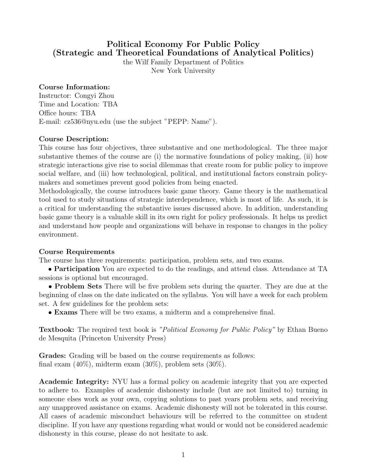# Political Economy For Public Policy (Strategic and Theoretical Foundations of Analytical Politics)

the Wilf Family Department of Politics New York University

#### Course Information:

Instructor: Congyi Zhou Time and Location: TBA Office hours: TBA E-mail: cz536@nyu.edu (use the subject "PEPP: Name").

#### Course Description:

This course has four objectives, three substantive and one methodological. The three major substantive themes of the course are (i) the normative foundations of policy making, (ii) how strategic interactions give rise to social dilemmas that create room for public policy to improve social welfare, and (iii) how technological, political, and institutional factors constrain policymakers and sometimes prevent good policies from being enacted.

Methodologically, the course introduces basic game theory. Game theory is the mathematical tool used to study situations of strategic interdependence, which is most of life. As such, it is a critical for understanding the substantive issues discussed above. In addition, understanding basic game theory is a valuable skill in its own right for policy professionals. It helps us predict and understand how people and organizations will behave in response to changes in the policy environment.

#### Course Requirements

The course has three requirements: participation, problem sets, and two exams.

• **Participation** You are expected to do the readings, and attend class. Attendance at TA sessions is optional but encouraged.

• Problem Sets There will be five problem sets during the quarter. They are due at the beginning of class on the date indicated on the syllabus. You will have a week for each problem set. A few guidelines for the problem sets:

• Exams There will be two exams, a midterm and a comprehensive final.

**Textbook:** The required text book is "Political Economy for Public Policy" by Ethan Bueno de Mesquita (Princeton University Press)

Grades: Grading will be based on the course requirements as follows: final exam (40%), midterm exam (30%), problem sets (30%).

**Academic Integrity:** NYU has a formal policy on academic integrity that you are expected to adhere to. Examples of academic dishonesty include (but are not limited to) turning in someone elses work as your own, copying solutions to past years problem sets, and receiving any unapproved assistance on exams. Academic dishonesty will not be tolerated in this course. All cases of academic misconduct behaviours will be referred to the committee on student discipline. If you have any questions regarding what would or would not be considered academic dishonesty in this course, please do not hesitate to ask.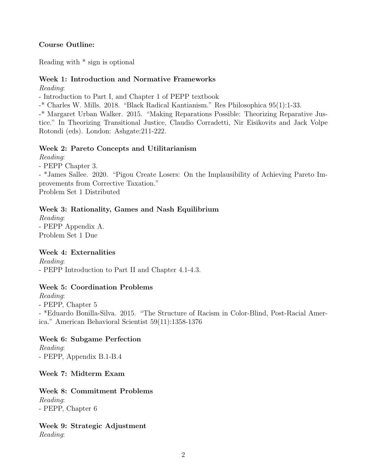# Course Outline:

Reading with \* sign is optional

# Week 1: Introduction and Normative Frameworks

Reading:

- Introduction to Part I, and Chapter 1 of PEPP textbook

-\* Charles W. Mills. 2018. "Black Radical Kantianism." Res Philosophica 95(1):1-33.

-\* Margaret Urban Walker. 2015. "Making Reparations Possible: Theorizing Reparative Justice." In Theorizing Transitional Justice, Claudio Corradetti, Nir Eisikovits and Jack Volpe Rotondi (eds). London: Ashgate:211-222.

# Week 2: Pareto Concepts and Utilitarianism

Reading:

- PEPP Chapter 3.

- \*James Sallee. 2020. "Pigou Create Losers: On the Implausibility of Achieving Pareto Improvements from Corrective Taxation." Problem Set 1 Distributed

# Week 3: Rationality, Games and Nash Equilibrium

Reading: - PEPP Appendix A. Problem Set 1 Due

## Week 4: Externalities

Reading: - PEPP Introduction to Part II and Chapter 4.1-4.3.

## Week 5: Coordination Problems

Reading:

- PEPP, Chapter 5

- \*Eduardo Bonilla-Silva. 2015. "The Structure of Racism in Color-Blind, Post-Racial America." American Behavioral Scientist 59(11):1358-1376

## Week 6: Subgame Perfection

Reading: - PEPP, Appendix B.1-B.4

Week 7: Midterm Exam

Week 8: Commitment Problems Reading: - PEPP, Chapter 6

Week 9: Strategic Adjustment Reading: